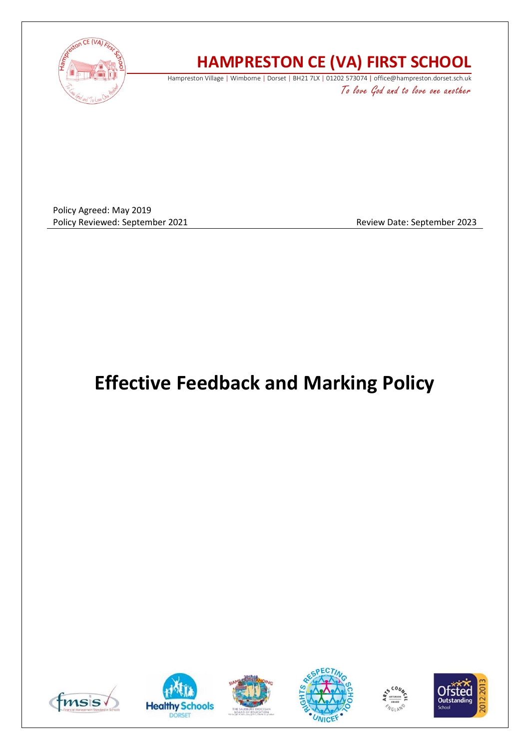

## **HAMPRESTON CE (VA) FIRST SCHOOL**

Hampreston Village | Wimborne | Dorset | BH21 7LX | 01202 573074 | office@hampreston.dorset.sch.uk To love God and to love one another

Policy Agreed: May 2019 Policy Reviewed: September 2021 and a settlement of the Review Date: September 2023

# **Effective Feedback and Marking Policy**











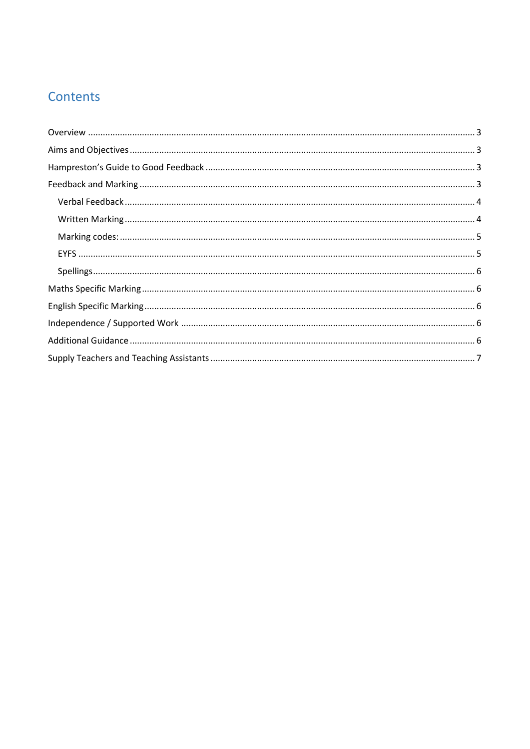### Contents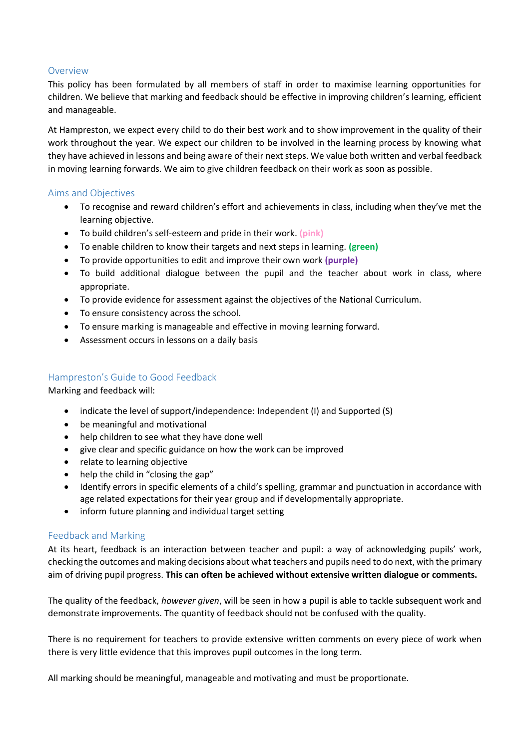#### <span id="page-2-0"></span>Overview

This policy has been formulated by all members of staff in order to maximise learning opportunities for children. We believe that marking and feedback should be effective in improving children's learning, efficient and manageable.

At Hampreston, we expect every child to do their best work and to show improvement in the quality of their work throughout the year. We expect our children to be involved in the learning process by knowing what they have achieved in lessons and being aware of their next steps. We value both written and verbal feedback in moving learning forwards. We aim to give children feedback on their work as soon as possible.

#### <span id="page-2-1"></span>Aims and Objectives

- To recognise and reward children's effort and achievements in class, including when they've met the learning objective.
- To build children's self-esteem and pride in their work. **(pink)**
- To enable children to know their targets and next steps in learning. **(green)**
- To provide opportunities to edit and improve their own work **(purple)**
- To build additional dialogue between the pupil and the teacher about work in class, where appropriate.
- To provide evidence for assessment against the objectives of the National Curriculum.
- To ensure consistency across the school.
- To ensure marking is manageable and effective in moving learning forward.
- Assessment occurs in lessons on a daily basis

#### <span id="page-2-2"></span>Hampreston's Guide to Good Feedback

Marking and feedback will:

- indicate the level of support/independence: Independent (I) and Supported (S)
- be meaningful and motivational
- help children to see what they have done well
- give clear and specific guidance on how the work can be improved
- relate to learning objective
- help the child in "closing the gap"
- Identify errors in specific elements of a child's spelling, grammar and punctuation in accordance with age related expectations for their year group and if developmentally appropriate.
- inform future planning and individual target setting

#### <span id="page-2-3"></span>Feedback and Marking

At its heart, feedback is an interaction between teacher and pupil: a way of acknowledging pupils' work, checking the outcomes and making decisions about what teachers and pupils need to do next, with the primary aim of driving pupil progress. **This can often be achieved without extensive written dialogue or comments.**

The quality of the feedback, *however given*, will be seen in how a pupil is able to tackle subsequent work and demonstrate improvements. The quantity of feedback should not be confused with the quality.

There is no requirement for teachers to provide extensive written comments on every piece of work when there is very little evidence that this improves pupil outcomes in the long term.

All marking should be meaningful, manageable and motivating and must be proportionate.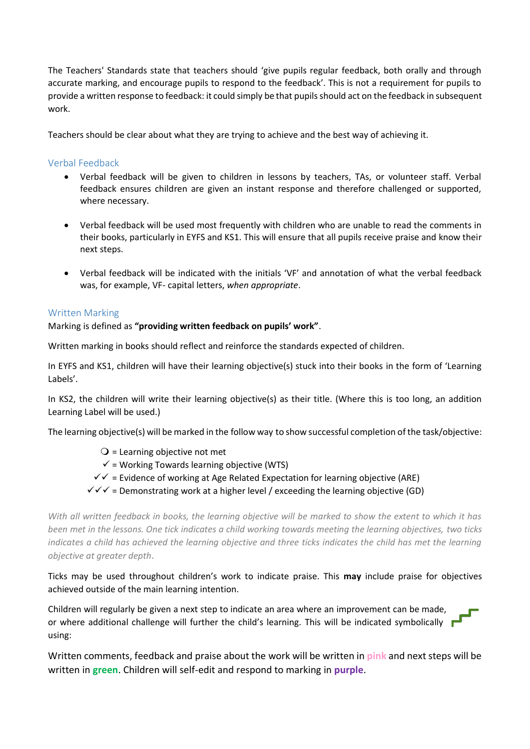The Teachers' Standards state that teachers should 'give pupils regular feedback, both orally and through accurate marking, and encourage pupils to respond to the feedback'. This is not a requirement for pupils to provide a written response to feedback: it could simply be that pupils should act on the feedback in subsequent work.

Teachers should be clear about what they are trying to achieve and the best way of achieving it.

#### <span id="page-3-0"></span>Verbal Feedback

- Verbal feedback will be given to children in lessons by teachers, TAs, or volunteer staff. Verbal feedback ensures children are given an instant response and therefore challenged or supported, where necessary.
- Verbal feedback will be used most frequently with children who are unable to read the comments in their books, particularly in EYFS and KS1. This will ensure that all pupils receive praise and know their next steps.
- Verbal feedback will be indicated with the initials 'VF' and annotation of what the verbal feedback was, for example, VF- capital letters, *when appropriate*.

#### <span id="page-3-1"></span>Written Marking

#### Marking is defined as **"providing written feedback on pupils' work"**.

Written marking in books should reflect and reinforce the standards expected of children.

In EYFS and KS1, children will have their learning objective(s) stuck into their books in the form of 'Learning Labels'.

In KS2, the children will write their learning objective(s) as their title. (Where this is too long, an addition Learning Label will be used.)

The learning objective(s) will be marked in the follow way to show successful completion of the task/objective:

- $Q$  = Learning objective not met
- $\checkmark$  = Working Towards learning objective (WTS)
- $\checkmark$  = Evidence of working at Age Related Expectation for learning objective (ARE)
- $\checkmark\checkmark\checkmark$  = Demonstrating work at a higher level / exceeding the learning objective (GD)

*With all written feedback in books, the learning objective will be marked to show the extent to which it has been met in the lessons. One tick indicates a child working towards meeting the learning objectives, two ticks indicates a child has achieved the learning objective and three ticks indicates the child has met the learning objective at greater depth*.

Ticks may be used throughout children's work to indicate praise. This **may** include praise for objectives achieved outside of the main learning intention.

Children will regularly be given a next step to indicate an area where an improvement can be made, or where additional challenge will further the child's learning. This will be indicated symbolically  $\blacksquare$ using:

Written comments, feedback and praise about the work will be written in **pink** and next steps will be written in **green**. Children will self-edit and respond to marking in **purple**.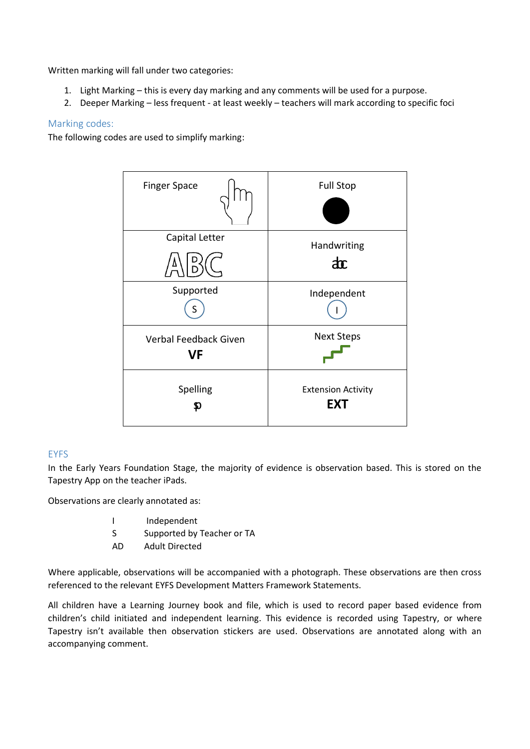Written marking will fall under two categories:

- 1. Light Marking this is every day marking and any comments will be used for a purpose.
- 2. Deeper Marking less frequent at least weekly teachers will mark according to specific foci

#### <span id="page-4-0"></span>Marking codes:

The following codes are used to simplify marking:



#### <span id="page-4-1"></span>**FYFS**

In the Early Years Foundation Stage, the majority of evidence is observation based. This is stored on the Tapestry App on the teacher iPads.

Observations are clearly annotated as:

- I Independent
- S Supported by Teacher or TA
- AD Adult Directed

Where applicable, observations will be accompanied with a photograph. These observations are then cross referenced to the relevant EYFS Development Matters Framework Statements.

All children have a Learning Journey book and file, which is used to record paper based evidence from children's child initiated and independent learning. This evidence is recorded using Tapestry, or where Tapestry isn't available then observation stickers are used. Observations are annotated along with an accompanying comment.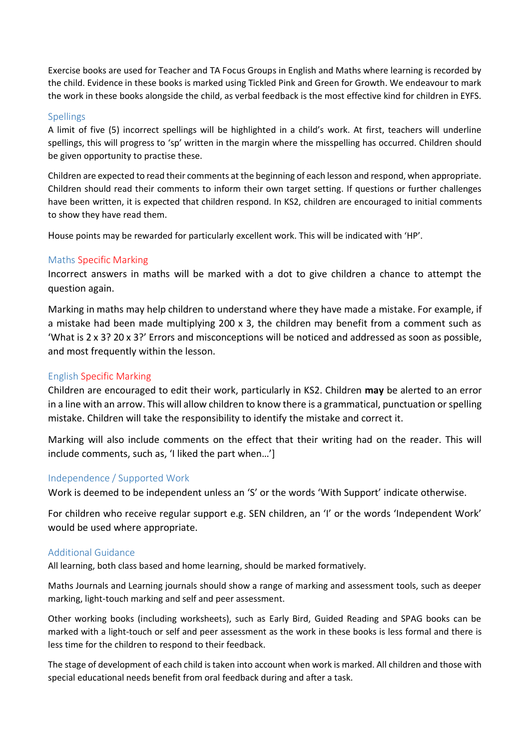Exercise books are used for Teacher and TA Focus Groups in English and Maths where learning is recorded by the child. Evidence in these books is marked using Tickled Pink and Green for Growth. We endeavour to mark the work in these books alongside the child, as verbal feedback is the most effective kind for children in EYFS.

#### <span id="page-5-0"></span>Spellings

A limit of five (5) incorrect spellings will be highlighted in a child's work. At first, teachers will underline spellings, this will progress to 'sp' written in the margin where the misspelling has occurred. Children should be given opportunity to practise these.

Children are expected to read their comments at the beginning of each lesson and respond, when appropriate. Children should read their comments to inform their own target setting. If questions or further challenges have been written, it is expected that children respond. In KS2, children are encouraged to initial comments to show they have read them.

House points may be rewarded for particularly excellent work. This will be indicated with 'HP'.

#### <span id="page-5-1"></span>Maths Specific Marking

Incorrect answers in maths will be marked with a dot to give children a chance to attempt the question again.

Marking in maths may help children to understand where they have made a mistake. For example, if a mistake had been made multiplying 200 x 3, the children may benefit from a comment such as 'What is 2 x 3? 20 x 3?' Errors and misconceptions will be noticed and addressed as soon as possible, and most frequently within the lesson.

#### <span id="page-5-2"></span>English Specific Marking

Children are encouraged to edit their work, particularly in KS2. Children **may** be alerted to an error in a line with an arrow. This will allow children to know there is a grammatical, punctuation or spelling mistake. Children will take the responsibility to identify the mistake and correct it.

Marking will also include comments on the effect that their writing had on the reader. This will include comments, such as, 'I liked the part when…']

#### <span id="page-5-3"></span>Independence / Supported Work

Work is deemed to be independent unless an 'S' or the words 'With Support' indicate otherwise.

For children who receive regular support e.g. SEN children, an 'I' or the words 'Independent Work' would be used where appropriate.

#### <span id="page-5-4"></span>Additional Guidance

All learning, both class based and home learning, should be marked formatively.

Maths Journals and Learning journals should show a range of marking and assessment tools, such as deeper marking, light-touch marking and self and peer assessment.

Other working books (including worksheets), such as Early Bird, Guided Reading and SPAG books can be marked with a light-touch or self and peer assessment as the work in these books is less formal and there is less time for the children to respond to their feedback.

The stage of development of each child is taken into account when work is marked. All children and those with special educational needs benefit from oral feedback during and after a task.